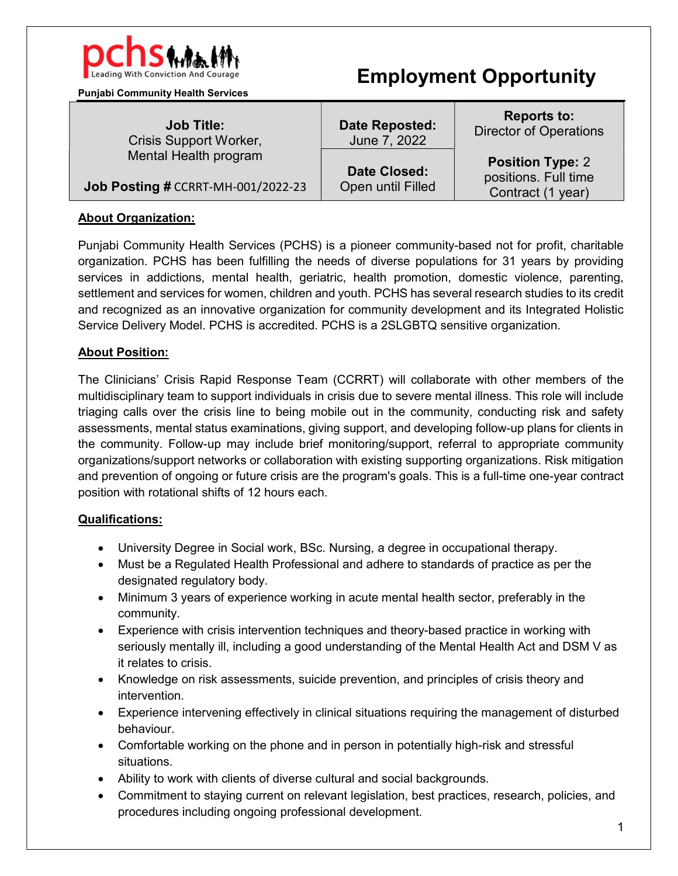

Punjabi Community Health Services

Job Title: Crisis Support Worker, Mental Health program

Date Closed:

Job Posting # CCRRT-MH-001/2022-23

# About Organization:

Punjabi Community Health Services (PCHS) is a pioneer community-based not for profit, charitable organization. PCHS has been fulfilling the needs of diverse populations for 31 years by providing services in addictions, mental health, geriatric, health promotion, domestic violence, parenting, settlement and services for women, children and youth. PCHS has several research studies to its credit and recognized as an innovative organization for community development and its Integrated Holistic Service Delivery Model. PCHS is accredited. PCHS is a 2SLGBTQ sensitive organization.

# About Position:

The Clinicians' Crisis Rapid Response Team (CCRRT) will collaborate with other members of the multidisciplinary team to support individuals in crisis due to severe mental illness. This role will include triaging calls over the crisis line to being mobile out in the community, conducting risk and safety assessments, mental status examinations, giving support, and developing follow-up plans for clients in the community. Follow-up may include brief monitoring/support, referral to appropriate community organizations/support networks or collaboration with existing supporting organizations. Risk mitigation and prevention of ongoing or future crisis are the program's goals. This is a full-time one-year contract position with rotational shifts of 12 hours each.

## Qualifications:

- University Degree in Social work, BSc. Nursing, a degree in occupational therapy.
- Must be a Regulated Health Professional and adhere to standards of practice as per the designated regulatory body.
- Minimum 3 years of experience working in acute mental health sector, preferably in the community.
- Experience with crisis intervention techniques and theory-based practice in working with seriously mentally ill, including a good understanding of the Mental Health Act and DSM V as it relates to crisis.
- Knowledge on risk assessments, suicide prevention, and principles of crisis theory and intervention.
- Experience intervening effectively in clinical situations requiring the management of disturbed behaviour.
- Comfortable working on the phone and in person in potentially high-risk and stressful situations.
- Ability to work with clients of diverse cultural and social backgrounds.
- Commitment to staying current on relevant legislation, best practices, research, policies, and procedures including ongoing professional development.

Date Reposted: June 7, 2022

Open until Filled

Reports to: Director of Operations

Position Type: 2 positions. Full time Contract (1 year)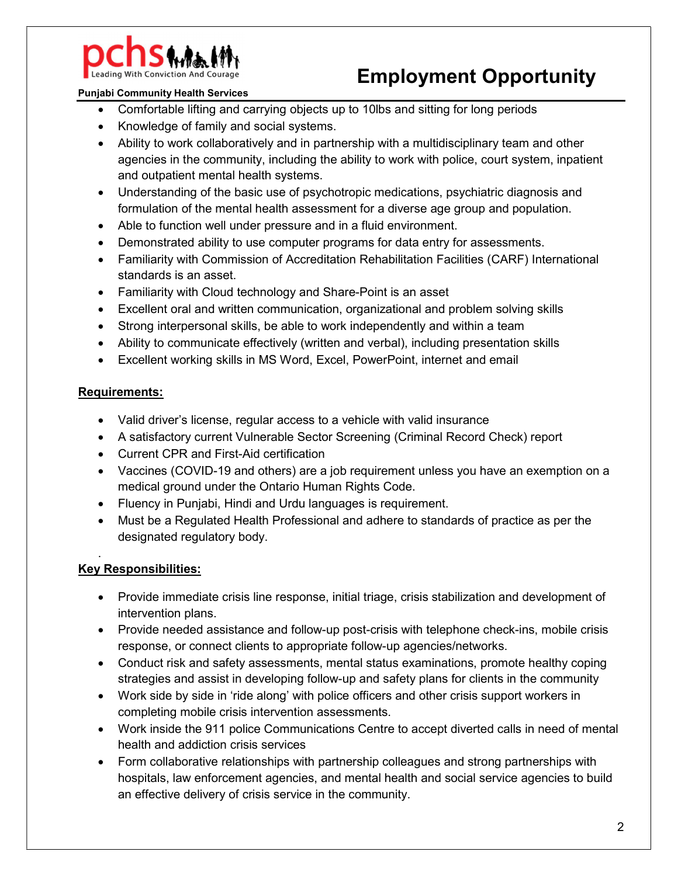

### Punjabi Community Health Services

- Comfortable lifting and carrying objects up to 10lbs and sitting for long periods
- Knowledge of family and social systems.
- Ability to work collaboratively and in partnership with a multidisciplinary team and other agencies in the community, including the ability to work with police, court system, inpatient and outpatient mental health systems.
- Understanding of the basic use of psychotropic medications, psychiatric diagnosis and formulation of the mental health assessment for a diverse age group and population.
- Able to function well under pressure and in a fluid environment.
- Demonstrated ability to use computer programs for data entry for assessments.
- Familiarity with Commission of Accreditation Rehabilitation Facilities (CARF) International standards is an asset.
- Familiarity with Cloud technology and Share-Point is an asset
- Excellent oral and written communication, organizational and problem solving skills
- Strong interpersonal skills, be able to work independently and within a team
- Ability to communicate effectively (written and verbal), including presentation skills
- Excellent working skills in MS Word, Excel, PowerPoint, internet and email

### Requirements:

- Valid driver's license, regular access to a vehicle with valid insurance
- A satisfactory current Vulnerable Sector Screening (Criminal Record Check) report
- Current CPR and First-Aid certification
- Vaccines (COVID-19 and others) are a job requirement unless you have an exemption on a medical ground under the Ontario Human Rights Code.
- Fluency in Punjabi, Hindi and Urdu languages is requirement.
- Must be a Regulated Health Professional and adhere to standards of practice as per the designated regulatory body.

## Key Responsibilities:

.

- Provide immediate crisis line response, initial triage, crisis stabilization and development of intervention plans.
- Provide needed assistance and follow-up post-crisis with telephone check-ins, mobile crisis response, or connect clients to appropriate follow-up agencies/networks.
- Conduct risk and safety assessments, mental status examinations, promote healthy coping strategies and assist in developing follow-up and safety plans for clients in the community
- Work side by side in 'ride along' with police officers and other crisis support workers in completing mobile crisis intervention assessments.
- Work inside the 911 police Communications Centre to accept diverted calls in need of mental health and addiction crisis services
- Form collaborative relationships with partnership colleagues and strong partnerships with hospitals, law enforcement agencies, and mental health and social service agencies to build an effective delivery of crisis service in the community.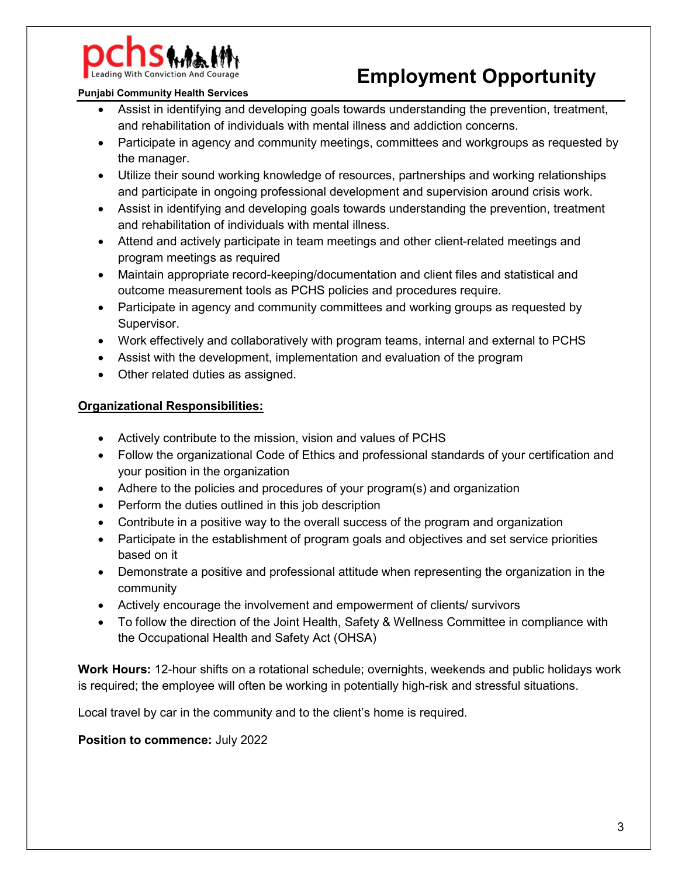

#### Punjabi Community Health Services

- Assist in identifying and developing goals towards understanding the prevention, treatment, and rehabilitation of individuals with mental illness and addiction concerns.
- Participate in agency and community meetings, committees and workgroups as requested by the manager.
- Utilize their sound working knowledge of resources, partnerships and working relationships and participate in ongoing professional development and supervision around crisis work.
- Assist in identifying and developing goals towards understanding the prevention, treatment and rehabilitation of individuals with mental illness.
- Attend and actively participate in team meetings and other client-related meetings and program meetings as required
- Maintain appropriate record-keeping/documentation and client files and statistical and outcome measurement tools as PCHS policies and procedures require.
- Participate in agency and community committees and working groups as requested by Supervisor.
- Work effectively and collaboratively with program teams, internal and external to PCHS
- Assist with the development, implementation and evaluation of the program
- Other related duties as assigned.

### Organizational Responsibilities:

- Actively contribute to the mission, vision and values of PCHS
- Follow the organizational Code of Ethics and professional standards of your certification and your position in the organization
- Adhere to the policies and procedures of your program(s) and organization
- Perform the duties outlined in this job description
- Contribute in a positive way to the overall success of the program and organization
- Participate in the establishment of program goals and objectives and set service priorities based on it
- Demonstrate a positive and professional attitude when representing the organization in the community
- Actively encourage the involvement and empowerment of clients/ survivors
- To follow the direction of the Joint Health, Safety & Wellness Committee in compliance with the Occupational Health and Safety Act (OHSA)

Work Hours: 12-hour shifts on a rotational schedule; overnights, weekends and public holidays work is required; the employee will often be working in potentially high-risk and stressful situations.

Local travel by car in the community and to the client's home is required.

### Position to commence: July 2022